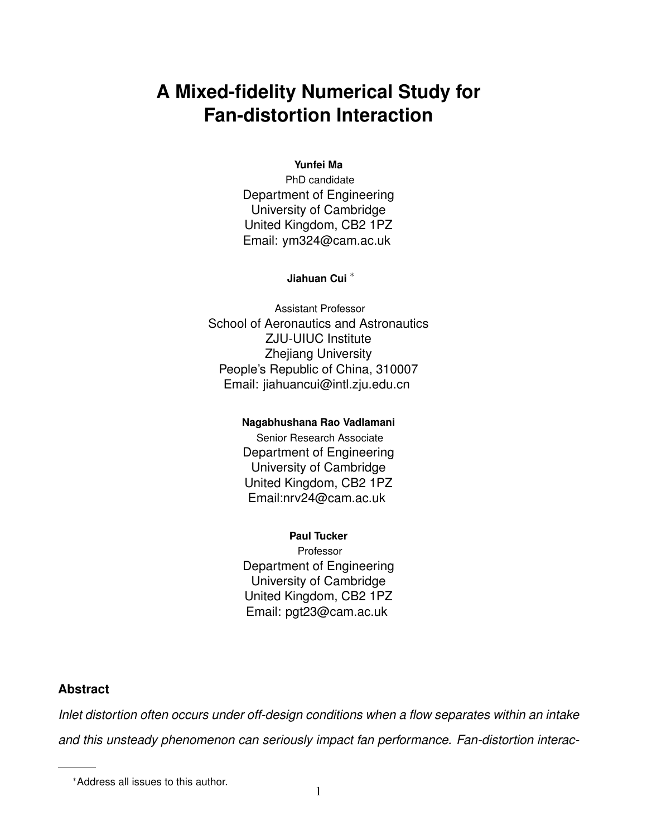# **A Mixed-fidelity Numerical Study for Fan-distortion Interaction**

#### **Yunfei Ma**

PhD candidate Department of Engineering University of Cambridge United Kingdom, CB2 1PZ Email: ym324@cam.ac.uk

#### **Jiahuan Cui** <sup>∗</sup>

Assistant Professor School of Aeronautics and Astronautics ZJU-UIUC Institute Zhejiang University People's Republic of China, 310007 Email: jiahuancui@intl.zju.edu.cn

#### **Nagabhushana Rao Vadlamani**

Senior Research Associate Department of Engineering University of Cambridge United Kingdom, CB2 1PZ Email:nrv24@cam.ac.uk

#### **Paul Tucker**

Professor Department of Engineering University of Cambridge United Kingdom, CB2 1PZ Email: pgt23@cam.ac.uk

#### **Abstract**

*Inlet distortion often occurs under off-design conditions when a flow separates within an intake and this unsteady phenomenon can seriously impact fan performance. Fan-distortion interac-*

<sup>∗</sup>Address all issues to this author.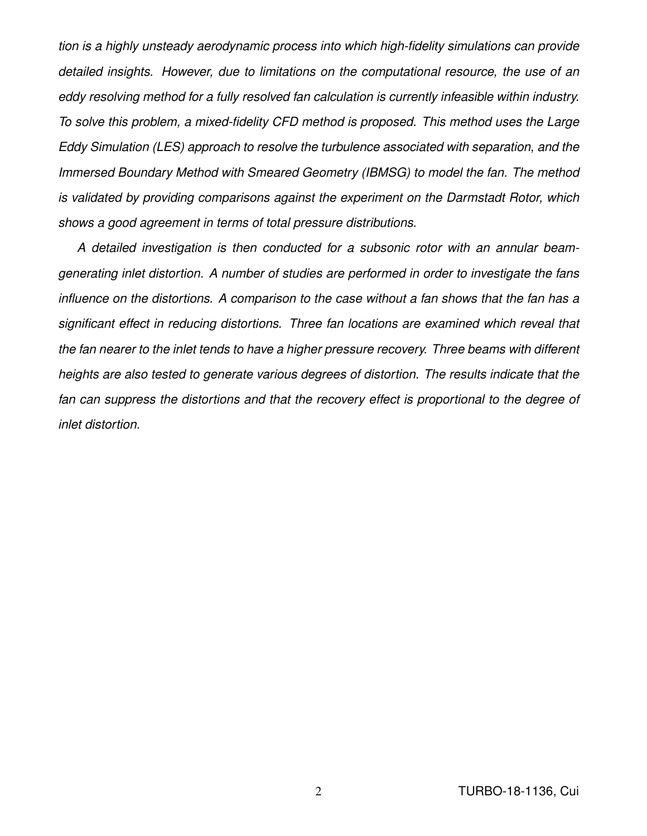*tion is a highly unsteady aerodynamic process into which high-fidelity simulations can provide detailed insights. However, due to limitations on the computational resource, the use of an eddy resolving method for a fully resolved fan calculation is currently infeasible within industry. To solve this problem, a mixed-fidelity CFD method is proposed. This method uses the Large Eddy Simulation (LES) approach to resolve the turbulence associated with separation, and the Immersed Boundary Method with Smeared Geometry (IBMSG) to model the fan. The method is validated by providing comparisons against the experiment on the Darmstadt Rotor, which shows a good agreement in terms of total pressure distributions.*

*A detailed investigation is then conducted for a subsonic rotor with an annular beamgenerating inlet distortion. A number of studies are performed in order to investigate the fans influence on the distortions. A comparison to the case without a fan shows that the fan has a significant effect in reducing distortions. Three fan locations are examined which reveal that the fan nearer to the inlet tends to have a higher pressure recovery. Three beams with different heights are also tested to generate various degrees of distortion. The results indicate that the fan can suppress the distortions and that the recovery effect is proportional to the degree of inlet distortion.*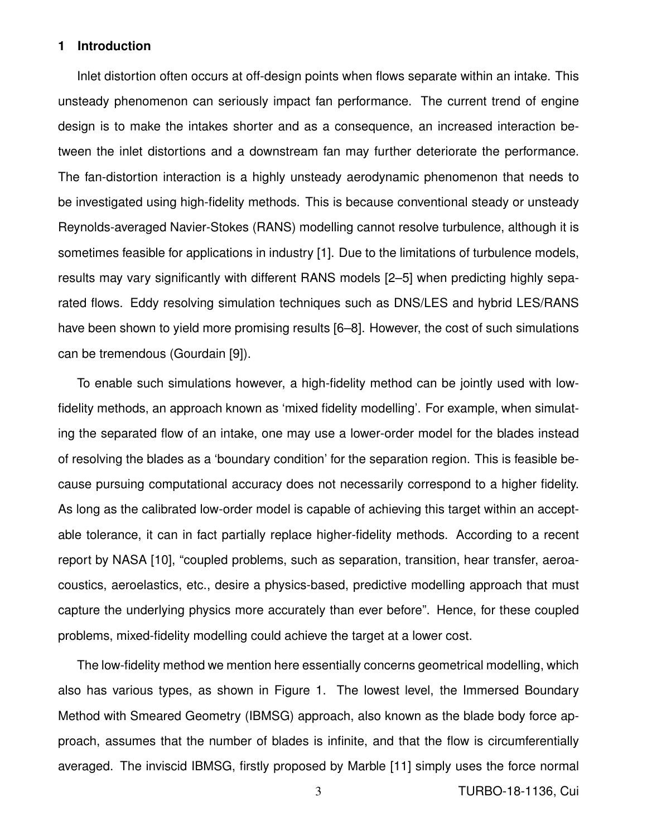## **1 Introduction**

Inlet distortion often occurs at off-design points when flows separate within an intake. This unsteady phenomenon can seriously impact fan performance. The current trend of engine design is to make the intakes shorter and as a consequence, an increased interaction between the inlet distortions and a downstream fan may further deteriorate the performance. The fan-distortion interaction is a highly unsteady aerodynamic phenomenon that needs to be investigated using high-fidelity methods. This is because conventional steady or unsteady Reynolds-averaged Navier-Stokes (RANS) modelling cannot resolve turbulence, although it is sometimes feasible for applications in industry [1]. Due to the limitations of turbulence models, results may vary significantly with different RANS models [2–5] when predicting highly separated flows. Eddy resolving simulation techniques such as DNS/LES and hybrid LES/RANS have been shown to yield more promising results [6–8]. However, the cost of such simulations can be tremendous (Gourdain [9]).

To enable such simulations however, a high-fidelity method can be jointly used with lowfidelity methods, an approach known as 'mixed fidelity modelling'. For example, when simulating the separated flow of an intake, one may use a lower-order model for the blades instead of resolving the blades as a 'boundary condition' for the separation region. This is feasible because pursuing computational accuracy does not necessarily correspond to a higher fidelity. As long as the calibrated low-order model is capable of achieving this target within an acceptable tolerance, it can in fact partially replace higher-fidelity methods. According to a recent report by NASA [10], "coupled problems, such as separation, transition, hear transfer, aeroacoustics, aeroelastics, etc., desire a physics-based, predictive modelling approach that must capture the underlying physics more accurately than ever before". Hence, for these coupled problems, mixed-fidelity modelling could achieve the target at a lower cost.

The low-fidelity method we mention here essentially concerns geometrical modelling, which also has various types, as shown in Figure 1. The lowest level, the Immersed Boundary Method with Smeared Geometry (IBMSG) approach, also known as the blade body force approach, assumes that the number of blades is infinite, and that the flow is circumferentially averaged. The inviscid IBMSG, firstly proposed by Marble [11] simply uses the force normal

3 TURBO-18-1136, Cui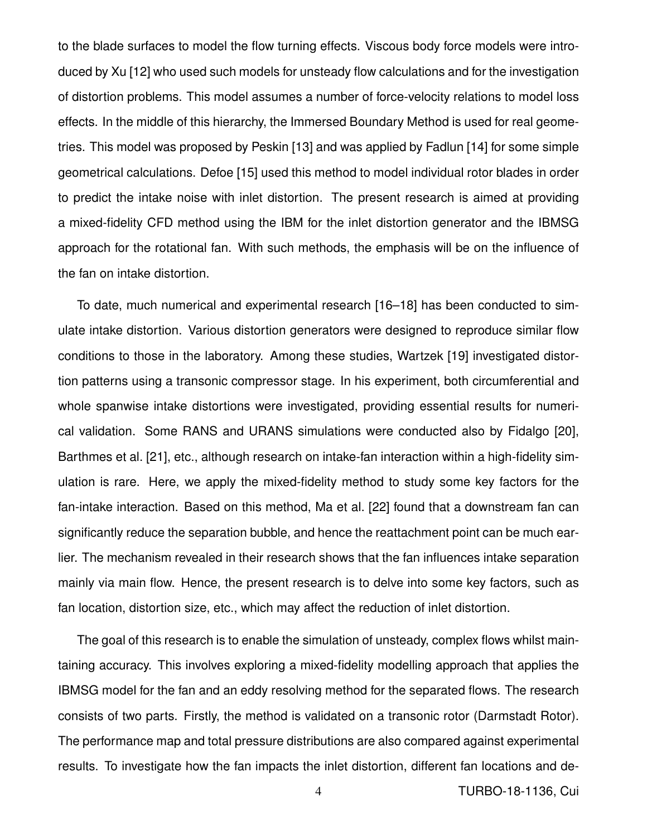to the blade surfaces to model the flow turning effects. Viscous body force models were introduced by Xu [12] who used such models for unsteady flow calculations and for the investigation of distortion problems. This model assumes a number of force-velocity relations to model loss effects. In the middle of this hierarchy, the Immersed Boundary Method is used for real geometries. This model was proposed by Peskin [13] and was applied by Fadlun [14] for some simple geometrical calculations. Defoe [15] used this method to model individual rotor blades in order to predict the intake noise with inlet distortion. The present research is aimed at providing a mixed-fidelity CFD method using the IBM for the inlet distortion generator and the IBMSG approach for the rotational fan. With such methods, the emphasis will be on the influence of the fan on intake distortion.

To date, much numerical and experimental research [16–18] has been conducted to simulate intake distortion. Various distortion generators were designed to reproduce similar flow conditions to those in the laboratory. Among these studies, Wartzek [19] investigated distortion patterns using a transonic compressor stage. In his experiment, both circumferential and whole spanwise intake distortions were investigated, providing essential results for numerical validation. Some RANS and URANS simulations were conducted also by Fidalgo [20], Barthmes et al. [21], etc., although research on intake-fan interaction within a high-fidelity simulation is rare. Here, we apply the mixed-fidelity method to study some key factors for the fan-intake interaction. Based on this method, Ma et al. [22] found that a downstream fan can significantly reduce the separation bubble, and hence the reattachment point can be much earlier. The mechanism revealed in their research shows that the fan influences intake separation mainly via main flow. Hence, the present research is to delve into some key factors, such as fan location, distortion size, etc., which may affect the reduction of inlet distortion.

The goal of this research is to enable the simulation of unsteady, complex flows whilst maintaining accuracy. This involves exploring a mixed-fidelity modelling approach that applies the IBMSG model for the fan and an eddy resolving method for the separated flows. The research consists of two parts. Firstly, the method is validated on a transonic rotor (Darmstadt Rotor). The performance map and total pressure distributions are also compared against experimental results. To investigate how the fan impacts the inlet distortion, different fan locations and de-

4 TURBO-18-1136, Cui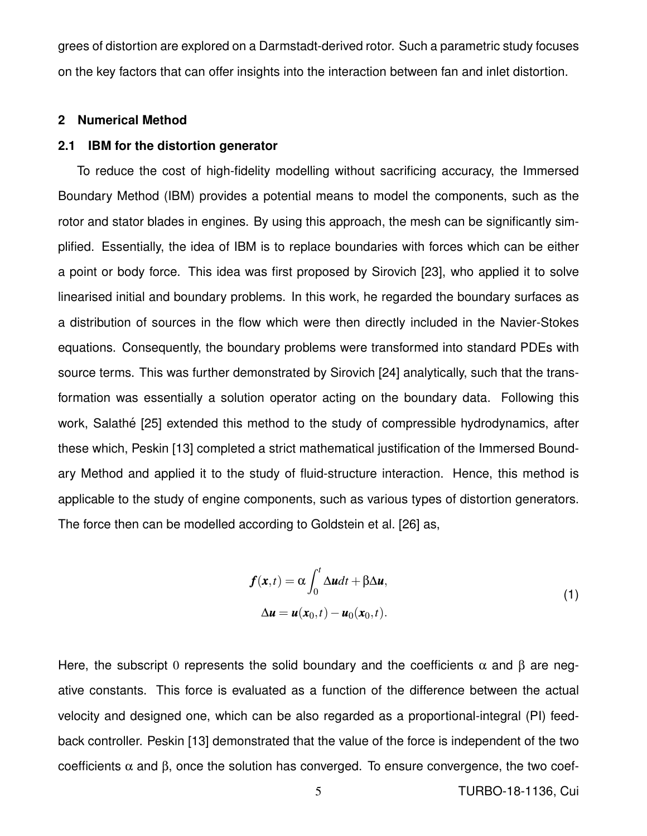grees of distortion are explored on a Darmstadt-derived rotor. Such a parametric study focuses on the key factors that can offer insights into the interaction between fan and inlet distortion.

#### **2 Numerical Method**

#### **2.1 IBM for the distortion generator**

To reduce the cost of high-fidelity modelling without sacrificing accuracy, the Immersed Boundary Method (IBM) provides a potential means to model the components, such as the rotor and stator blades in engines. By using this approach, the mesh can be significantly simplified. Essentially, the idea of IBM is to replace boundaries with forces which can be either a point or body force. This idea was first proposed by Sirovich [23], who applied it to solve linearised initial and boundary problems. In this work, he regarded the boundary surfaces as a distribution of sources in the flow which were then directly included in the Navier-Stokes equations. Consequently, the boundary problems were transformed into standard PDEs with source terms. This was further demonstrated by Sirovich [24] analytically, such that the transformation was essentially a solution operator acting on the boundary data. Following this work, Salathé [25] extended this method to the study of compressible hydrodynamics, after these which, Peskin [13] completed a strict mathematical justification of the Immersed Boundary Method and applied it to the study of fluid-structure interaction. Hence, this method is applicable to the study of engine components, such as various types of distortion generators. The force then can be modelled according to Goldstein et al. [26] as,

$$
f(\mathbf{x},t) = \alpha \int_0^t \Delta u dt + \beta \Delta u,
$$
  
\n
$$
\Delta u = u(\mathbf{x}_0,t) - u_0(\mathbf{x}_0,t).
$$
\n(1)

Here, the subscript 0 represents the solid boundary and the coefficients  $\alpha$  and  $\beta$  are negative constants. This force is evaluated as a function of the difference between the actual velocity and designed one, which can be also regarded as a proportional-integral (PI) feedback controller. Peskin [13] demonstrated that the value of the force is independent of the two coefficients  $\alpha$  and  $\beta$ , once the solution has converged. To ensure convergence, the two coef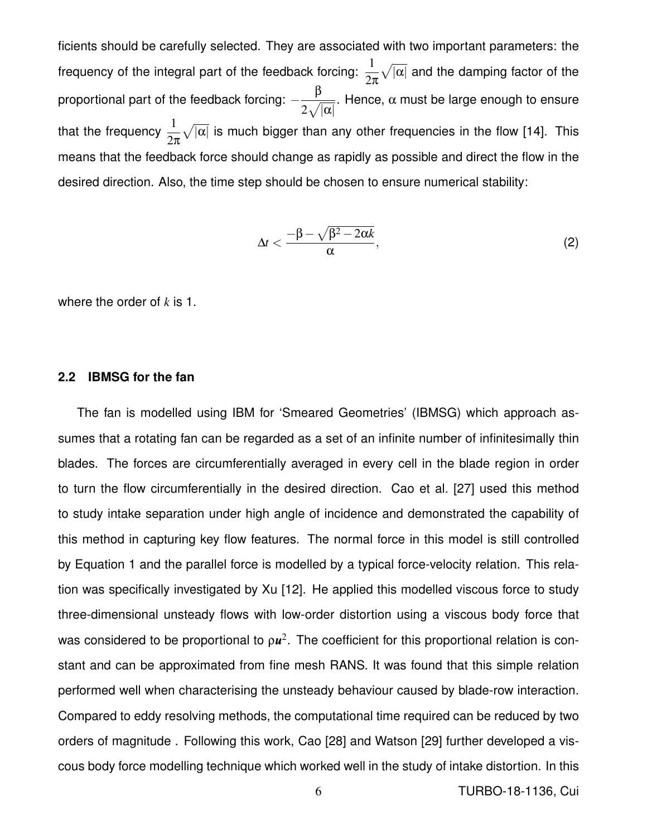ficients should be carefully selected. They are associated with two important parameters: the frequency of the integral part of the feedback forcing:  $\frac{1}{2}$ 2π  $\sqrt{|\alpha|}$  and the damping factor of the proportional part of the feedback forcing:  $$ β  $2\sqrt{|\alpha|}$ . Hence,  $\alpha$  must be large enough to ensure that the frequency  $\frac{1}{2}$ 2π  $\sqrt{|\alpha|}$  is much bigger than any other frequencies in the flow [14]. This means that the feedback force should change as rapidly as possible and direct the flow in the desired direction. Also, the time step should be chosen to ensure numerical stability:

$$
\Delta t < \frac{-\beta - \sqrt{\beta^2 - 2\alpha k}}{\alpha},\tag{2}
$$

where the order of *k* is 1.

# **2.2 IBMSG for the fan**

The fan is modelled using IBM for 'Smeared Geometries' (IBMSG) which approach assumes that a rotating fan can be regarded as a set of an infinite number of infinitesimally thin blades. The forces are circumferentially averaged in every cell in the blade region in order to turn the flow circumferentially in the desired direction. Cao et al. [27] used this method to study intake separation under high angle of incidence and demonstrated the capability of this method in capturing key flow features. The normal force in this model is still controlled by Equation 1 and the parallel force is modelled by a typical force-velocity relation. This relation was specifically investigated by Xu [12]. He applied this modelled viscous force to study three-dimensional unsteady flows with low-order distortion using a viscous body force that was considered to be proportional to  $\rho u^2$ . The coefficient for this proportional relation is constant and can be approximated from fine mesh RANS. It was found that this simple relation performed well when characterising the unsteady behaviour caused by blade-row interaction. Compared to eddy resolving methods, the computational time required can be reduced by two orders of magnitude . Following this work, Cao [28] and Watson [29] further developed a viscous body force modelling technique which worked well in the study of intake distortion. In this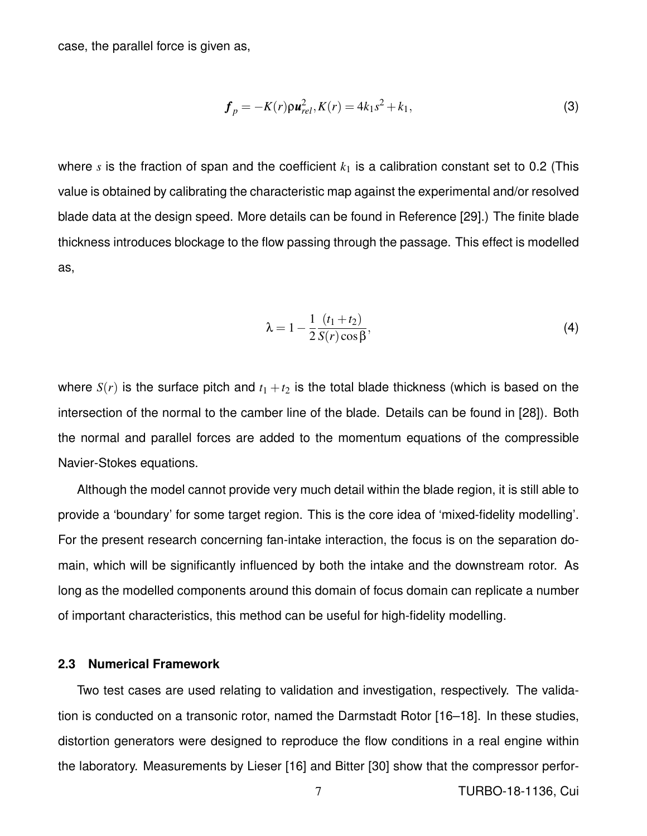case, the parallel force is given as,

$$
\boldsymbol{f}_p = -K(r)\rho \boldsymbol{u}_{rel}^2, K(r) = 4k_1s^2 + k_1,
$$
\n(3)

where  $s$  is the fraction of span and the coefficient  $k_1$  is a calibration constant set to 0.2 (This value is obtained by calibrating the characteristic map against the experimental and/or resolved blade data at the design speed. More details can be found in Reference [29].) The finite blade thickness introduces blockage to the flow passing through the passage. This effect is modelled as,

$$
\lambda = 1 - \frac{1}{2} \frac{(t_1 + t_2)}{S(r) \cos \beta},
$$
\n(4)

where  $S(r)$  is the surface pitch and  $t_1 + t_2$  is the total blade thickness (which is based on the intersection of the normal to the camber line of the blade. Details can be found in [28]). Both the normal and parallel forces are added to the momentum equations of the compressible Navier-Stokes equations.

Although the model cannot provide very much detail within the blade region, it is still able to provide a 'boundary' for some target region. This is the core idea of 'mixed-fidelity modelling'. For the present research concerning fan-intake interaction, the focus is on the separation domain, which will be significantly influenced by both the intake and the downstream rotor. As long as the modelled components around this domain of focus domain can replicate a number of important characteristics, this method can be useful for high-fidelity modelling.

#### **2.3 Numerical Framework**

Two test cases are used relating to validation and investigation, respectively. The validation is conducted on a transonic rotor, named the Darmstadt Rotor [16–18]. In these studies, distortion generators were designed to reproduce the flow conditions in a real engine within the laboratory. Measurements by Lieser [16] and Bitter [30] show that the compressor perfor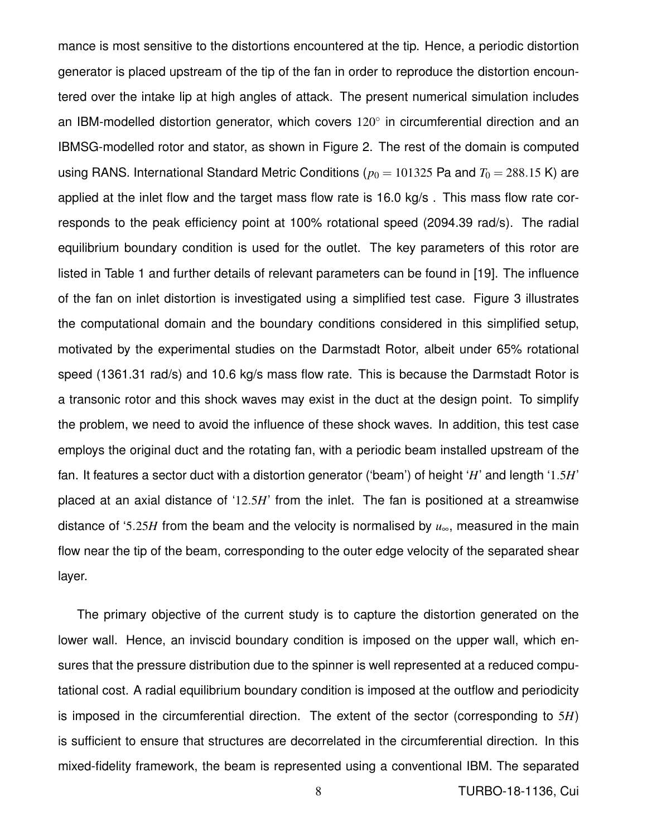mance is most sensitive to the distortions encountered at the tip. Hence, a periodic distortion generator is placed upstream of the tip of the fan in order to reproduce the distortion encountered over the intake lip at high angles of attack. The present numerical simulation includes an IBM-modelled distortion generator, which covers  $120^{\circ}$  in circumferential direction and an IBMSG-modelled rotor and stator, as shown in Figure 2. The rest of the domain is computed using RANS. International Standard Metric Conditions ( $p_0 = 101325$  Pa and  $T_0 = 288.15$  K) are applied at the inlet flow and the target mass flow rate is 16.0 kg/s . This mass flow rate corresponds to the peak efficiency point at 100% rotational speed (2094.39 rad/s). The radial equilibrium boundary condition is used for the outlet. The key parameters of this rotor are listed in Table 1 and further details of relevant parameters can be found in [19]. The influence of the fan on inlet distortion is investigated using a simplified test case. Figure 3 illustrates the computational domain and the boundary conditions considered in this simplified setup, motivated by the experimental studies on the Darmstadt Rotor, albeit under 65% rotational speed (1361.31 rad/s) and 10.6 kg/s mass flow rate. This is because the Darmstadt Rotor is a transonic rotor and this shock waves may exist in the duct at the design point. To simplify the problem, we need to avoid the influence of these shock waves. In addition, this test case employs the original duct and the rotating fan, with a periodic beam installed upstream of the fan. It features a sector duct with a distortion generator ('beam') of height '*H*' and length '1.5*H*' placed at an axial distance of '12.5*H*' from the inlet. The fan is positioned at a streamwise distance of '5.25*H* from the beam and the velocity is normalised by *u*∞, measured in the main flow near the tip of the beam, corresponding to the outer edge velocity of the separated shear layer.

The primary objective of the current study is to capture the distortion generated on the lower wall. Hence, an inviscid boundary condition is imposed on the upper wall, which ensures that the pressure distribution due to the spinner is well represented at a reduced computational cost. A radial equilibrium boundary condition is imposed at the outflow and periodicity is imposed in the circumferential direction. The extent of the sector (corresponding to 5*H*) is sufficient to ensure that structures are decorrelated in the circumferential direction. In this mixed-fidelity framework, the beam is represented using a conventional IBM. The separated

8 TURBO-18-1136, Cui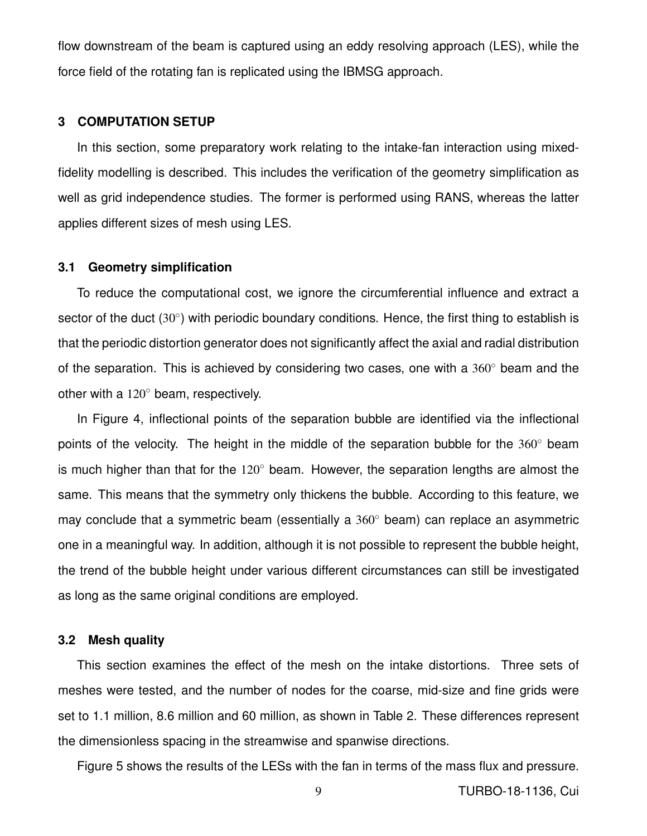flow downstream of the beam is captured using an eddy resolving approach (LES), while the force field of the rotating fan is replicated using the IBMSG approach.

# **3 COMPUTATION SETUP**

In this section, some preparatory work relating to the intake-fan interaction using mixedfidelity modelling is described. This includes the verification of the geometry simplification as well as grid independence studies. The former is performed using RANS, whereas the latter applies different sizes of mesh using LES.

## **3.1 Geometry simplification**

To reduce the computational cost, we ignore the circumferential influence and extract a sector of the duct (30°) with periodic boundary conditions. Hence, the first thing to establish is that the periodic distortion generator does not significantly affect the axial and radial distribution of the separation. This is achieved by considering two cases, one with a  $360^\circ$  beam and the other with a 120◦ beam, respectively.

In Figure 4, inflectional points of the separation bubble are identified via the inflectional points of the velocity. The height in the middle of the separation bubble for the  $360^\circ$  beam is much higher than that for the  $120^\circ$  beam. However, the separation lengths are almost the same. This means that the symmetry only thickens the bubble. According to this feature, we may conclude that a symmetric beam (essentially a  $360^\circ$  beam) can replace an asymmetric one in a meaningful way. In addition, although it is not possible to represent the bubble height, the trend of the bubble height under various different circumstances can still be investigated as long as the same original conditions are employed.

# **3.2 Mesh quality**

This section examines the effect of the mesh on the intake distortions. Three sets of meshes were tested, and the number of nodes for the coarse, mid-size and fine grids were set to 1.1 million, 8.6 million and 60 million, as shown in Table 2. These differences represent the dimensionless spacing in the streamwise and spanwise directions.

Figure 5 shows the results of the LESs with the fan in terms of the mass flux and pressure.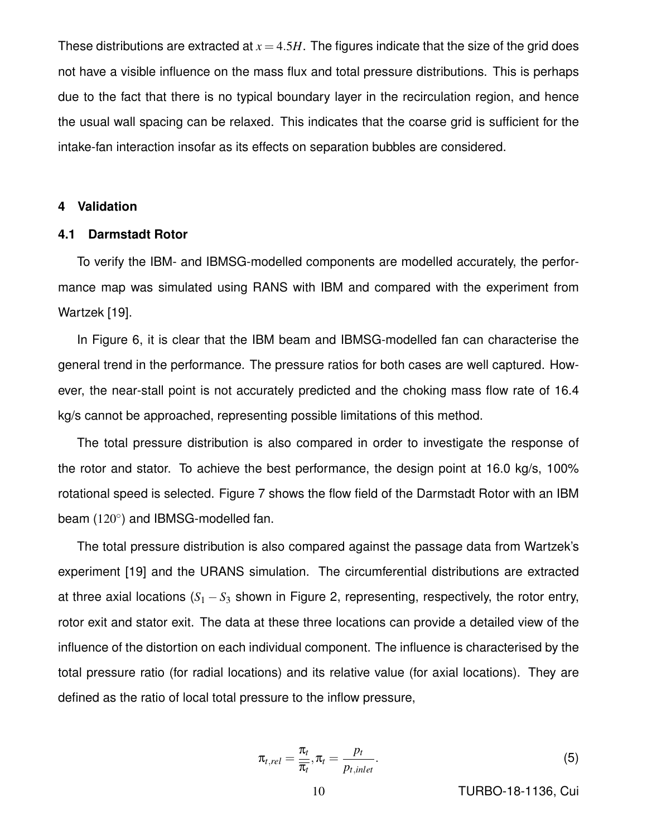These distributions are extracted at  $x = 4.5H$ . The figures indicate that the size of the grid does not have a visible influence on the mass flux and total pressure distributions. This is perhaps due to the fact that there is no typical boundary layer in the recirculation region, and hence the usual wall spacing can be relaxed. This indicates that the coarse grid is sufficient for the intake-fan interaction insofar as its effects on separation bubbles are considered.

#### **4 Validation**

#### **4.1 Darmstadt Rotor**

To verify the IBM- and IBMSG-modelled components are modelled accurately, the performance map was simulated using RANS with IBM and compared with the experiment from Wartzek [19].

In Figure 6, it is clear that the IBM beam and IBMSG-modelled fan can characterise the general trend in the performance. The pressure ratios for both cases are well captured. However, the near-stall point is not accurately predicted and the choking mass flow rate of 16.4 kg/s cannot be approached, representing possible limitations of this method.

The total pressure distribution is also compared in order to investigate the response of the rotor and stator. To achieve the best performance, the design point at 16.0 kg/s, 100% rotational speed is selected. Figure 7 shows the flow field of the Darmstadt Rotor with an IBM beam (120°) and IBMSG-modelled fan.

The total pressure distribution is also compared against the passage data from Wartzek's experiment [19] and the URANS simulation. The circumferential distributions are extracted at three axial locations  $(S_1 - S_3)$  shown in Figure 2, representing, respectively, the rotor entry, rotor exit and stator exit. The data at these three locations can provide a detailed view of the influence of the distortion on each individual component. The influence is characterised by the total pressure ratio (for radial locations) and its relative value (for axial locations). They are defined as the ratio of local total pressure to the inflow pressure,

$$
\pi_{t,rel} = \frac{\pi_t}{\pi_t}, \pi_t = \frac{p_t}{p_{t,inlet}}.
$$
\n(5)

10 TURBO-18-1136, Cui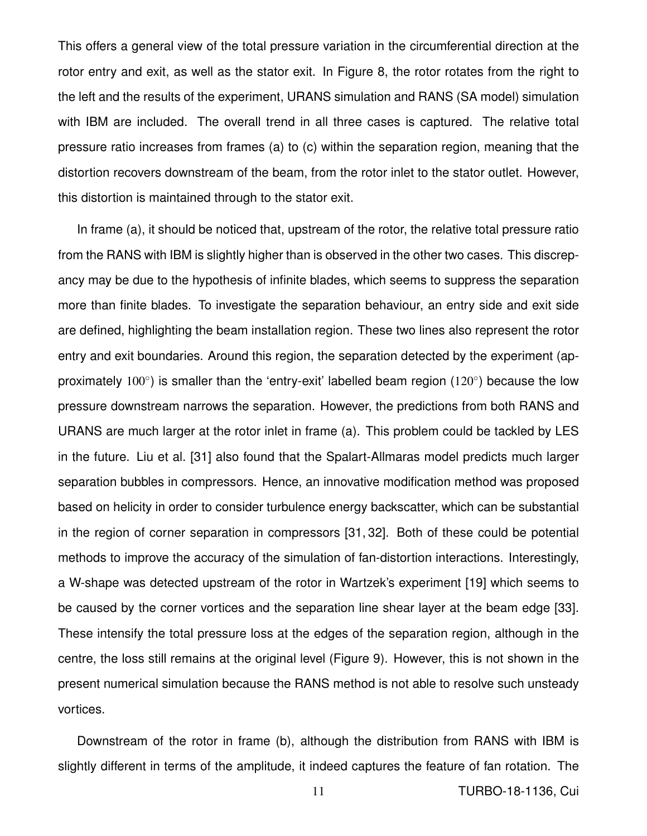This offers a general view of the total pressure variation in the circumferential direction at the rotor entry and exit, as well as the stator exit. In Figure 8, the rotor rotates from the right to the left and the results of the experiment, URANS simulation and RANS (SA model) simulation with IBM are included. The overall trend in all three cases is captured. The relative total pressure ratio increases from frames (a) to (c) within the separation region, meaning that the distortion recovers downstream of the beam, from the rotor inlet to the stator outlet. However, this distortion is maintained through to the stator exit.

In frame (a), it should be noticed that, upstream of the rotor, the relative total pressure ratio from the RANS with IBM is slightly higher than is observed in the other two cases. This discrepancy may be due to the hypothesis of infinite blades, which seems to suppress the separation more than finite blades. To investigate the separation behaviour, an entry side and exit side are defined, highlighting the beam installation region. These two lines also represent the rotor entry and exit boundaries. Around this region, the separation detected by the experiment (approximately 100 $^{\circ}$ ) is smaller than the 'entry-exit' labelled beam region (120 $^{\circ}$ ) because the low pressure downstream narrows the separation. However, the predictions from both RANS and URANS are much larger at the rotor inlet in frame (a). This problem could be tackled by LES in the future. Liu et al. [31] also found that the Spalart-Allmaras model predicts much larger separation bubbles in compressors. Hence, an innovative modification method was proposed based on helicity in order to consider turbulence energy backscatter, which can be substantial in the region of corner separation in compressors [31, 32]. Both of these could be potential methods to improve the accuracy of the simulation of fan-distortion interactions. Interestingly, a W-shape was detected upstream of the rotor in Wartzek's experiment [19] which seems to be caused by the corner vortices and the separation line shear layer at the beam edge [33]. These intensify the total pressure loss at the edges of the separation region, although in the centre, the loss still remains at the original level (Figure 9). However, this is not shown in the present numerical simulation because the RANS method is not able to resolve such unsteady vortices.

Downstream of the rotor in frame (b), although the distribution from RANS with IBM is slightly different in terms of the amplitude, it indeed captures the feature of fan rotation. The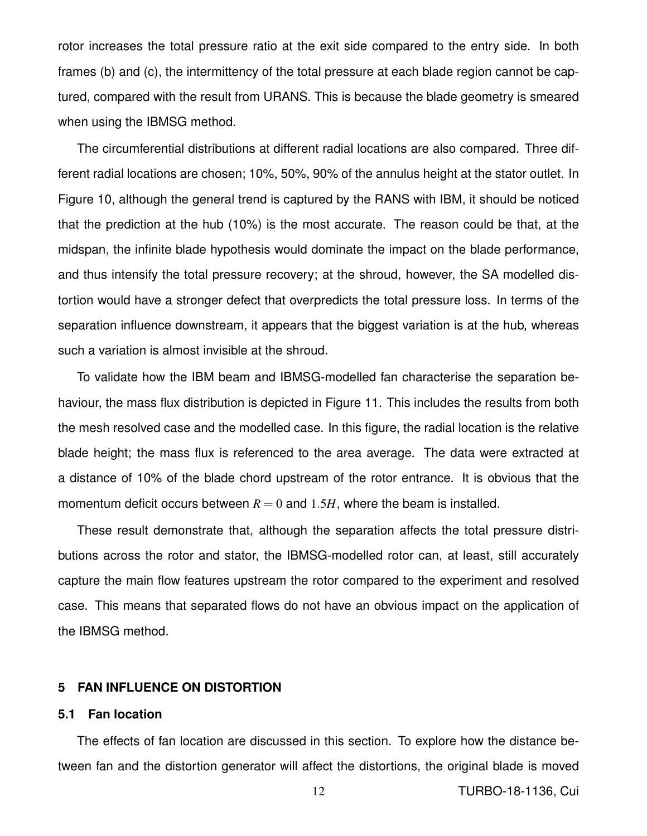rotor increases the total pressure ratio at the exit side compared to the entry side. In both frames (b) and (c), the intermittency of the total pressure at each blade region cannot be captured, compared with the result from URANS. This is because the blade geometry is smeared when using the IBMSG method.

The circumferential distributions at different radial locations are also compared. Three different radial locations are chosen; 10%, 50%, 90% of the annulus height at the stator outlet. In Figure 10, although the general trend is captured by the RANS with IBM, it should be noticed that the prediction at the hub (10%) is the most accurate. The reason could be that, at the midspan, the infinite blade hypothesis would dominate the impact on the blade performance, and thus intensify the total pressure recovery; at the shroud, however, the SA modelled distortion would have a stronger defect that overpredicts the total pressure loss. In terms of the separation influence downstream, it appears that the biggest variation is at the hub, whereas such a variation is almost invisible at the shroud.

To validate how the IBM beam and IBMSG-modelled fan characterise the separation behaviour, the mass flux distribution is depicted in Figure 11. This includes the results from both the mesh resolved case and the modelled case. In this figure, the radial location is the relative blade height; the mass flux is referenced to the area average. The data were extracted at a distance of 10% of the blade chord upstream of the rotor entrance. It is obvious that the momentum deficit occurs between  $R = 0$  and 1.5H, where the beam is installed.

These result demonstrate that, although the separation affects the total pressure distributions across the rotor and stator, the IBMSG-modelled rotor can, at least, still accurately capture the main flow features upstream the rotor compared to the experiment and resolved case. This means that separated flows do not have an obvious impact on the application of the IBMSG method.

# **5 FAN INFLUENCE ON DISTORTION**

# **5.1 Fan location**

The effects of fan location are discussed in this section. To explore how the distance between fan and the distortion generator will affect the distortions, the original blade is moved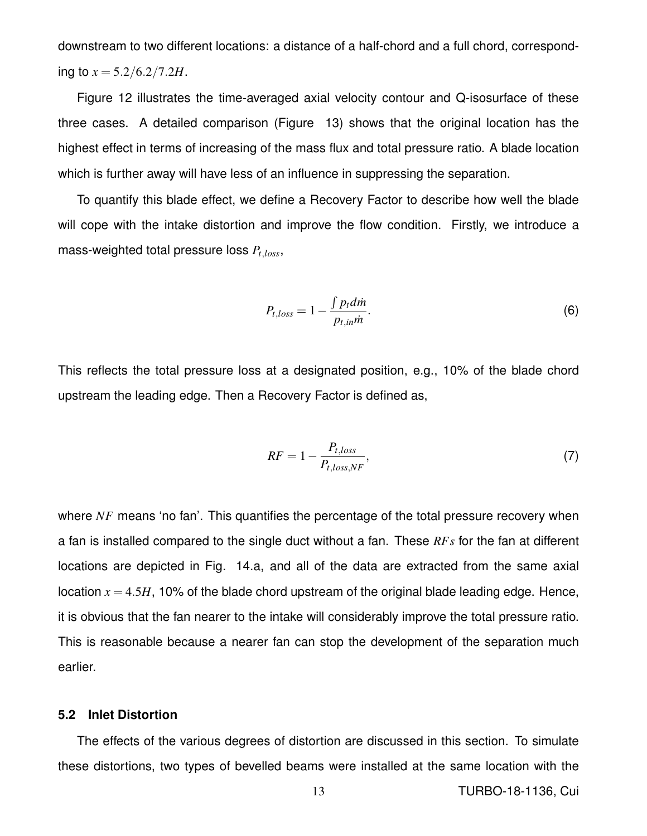downstream to two different locations: a distance of a half-chord and a full chord, corresponding to  $x = 5.2/6.2/7.2H$ .

Figure 12 illustrates the time-averaged axial velocity contour and Q-isosurface of these three cases. A detailed comparison (Figure 13) shows that the original location has the highest effect in terms of increasing of the mass flux and total pressure ratio. A blade location which is further away will have less of an influence in suppressing the separation.

To quantify this blade effect, we define a Recovery Factor to describe how well the blade will cope with the intake distortion and improve the flow condition. Firstly, we introduce a mass-weighted total pressure loss *Pt*,*loss*,

$$
P_{t,loss} = 1 - \frac{\int p_t dm}{p_{t,in} \dot{m}}.\tag{6}
$$

This reflects the total pressure loss at a designated position, e.g., 10% of the blade chord upstream the leading edge. Then a Recovery Factor is defined as,

$$
RF = 1 - \frac{P_{t,loss}}{P_{t,loss,NF}},\tag{7}
$$

where *NF* means 'no fan'. This quantifies the percentage of the total pressure recovery when a fan is installed compared to the single duct without a fan. These *RFs* for the fan at different locations are depicted in Fig. 14.a, and all of the data are extracted from the same axial location  $x = 4.5H$ , 10% of the blade chord upstream of the original blade leading edge. Hence, it is obvious that the fan nearer to the intake will considerably improve the total pressure ratio. This is reasonable because a nearer fan can stop the development of the separation much earlier.

# **5.2 Inlet Distortion**

The effects of the various degrees of distortion are discussed in this section. To simulate these distortions, two types of bevelled beams were installed at the same location with the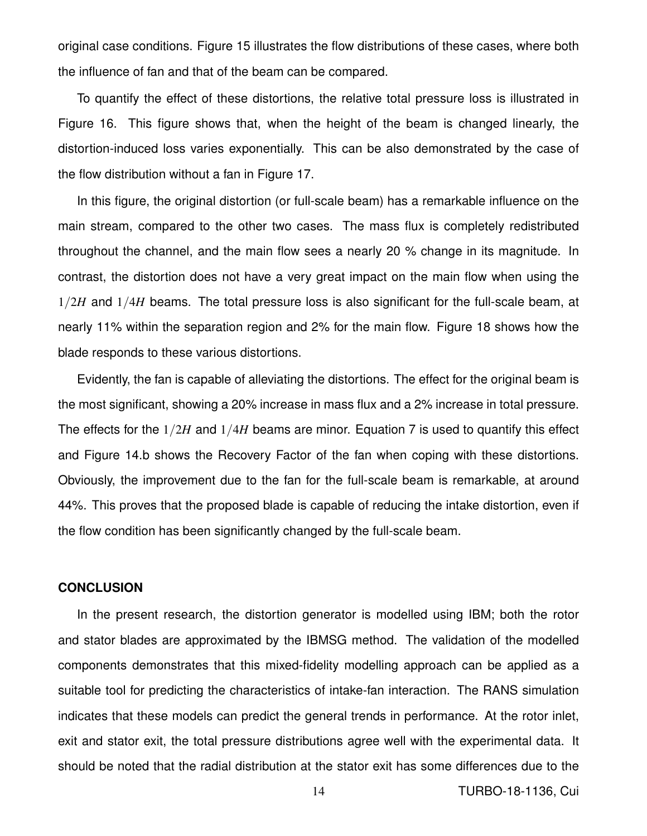original case conditions. Figure 15 illustrates the flow distributions of these cases, where both the influence of fan and that of the beam can be compared.

To quantify the effect of these distortions, the relative total pressure loss is illustrated in Figure 16. This figure shows that, when the height of the beam is changed linearly, the distortion-induced loss varies exponentially. This can be also demonstrated by the case of the flow distribution without a fan in Figure 17.

In this figure, the original distortion (or full-scale beam) has a remarkable influence on the main stream, compared to the other two cases. The mass flux is completely redistributed throughout the channel, and the main flow sees a nearly 20 % change in its magnitude. In contrast, the distortion does not have a very great impact on the main flow when using the 1/2*H* and 1/4*H* beams. The total pressure loss is also significant for the full-scale beam, at nearly 11% within the separation region and 2% for the main flow. Figure 18 shows how the blade responds to these various distortions.

Evidently, the fan is capable of alleviating the distortions. The effect for the original beam is the most significant, showing a 20% increase in mass flux and a 2% increase in total pressure. The effects for the 1/2*H* and 1/4*H* beams are minor. Equation 7 is used to quantify this effect and Figure 14.b shows the Recovery Factor of the fan when coping with these distortions. Obviously, the improvement due to the fan for the full-scale beam is remarkable, at around 44%. This proves that the proposed blade is capable of reducing the intake distortion, even if the flow condition has been significantly changed by the full-scale beam.

# **CONCLUSION**

In the present research, the distortion generator is modelled using IBM; both the rotor and stator blades are approximated by the IBMSG method. The validation of the modelled components demonstrates that this mixed-fidelity modelling approach can be applied as a suitable tool for predicting the characteristics of intake-fan interaction. The RANS simulation indicates that these models can predict the general trends in performance. At the rotor inlet, exit and stator exit, the total pressure distributions agree well with the experimental data. It should be noted that the radial distribution at the stator exit has some differences due to the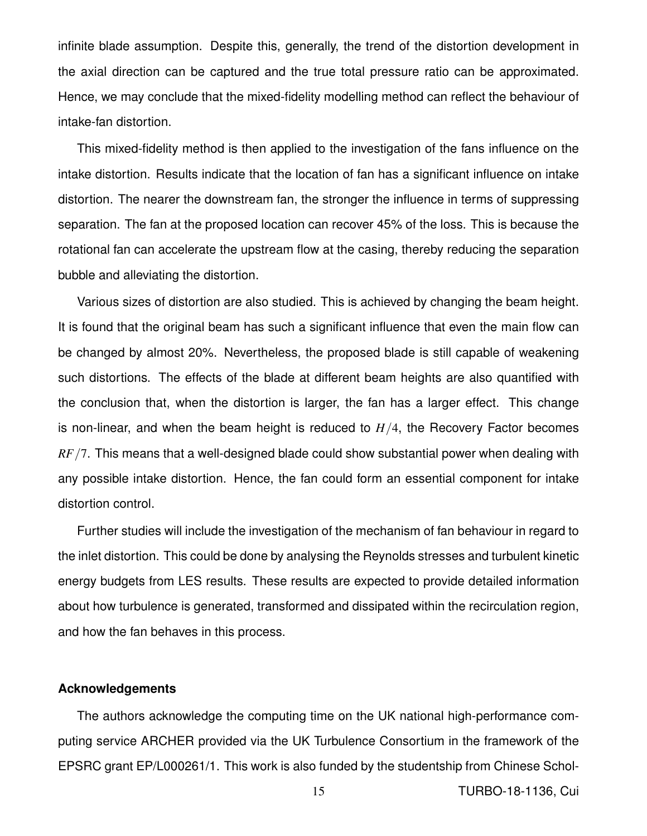infinite blade assumption. Despite this, generally, the trend of the distortion development in the axial direction can be captured and the true total pressure ratio can be approximated. Hence, we may conclude that the mixed-fidelity modelling method can reflect the behaviour of intake-fan distortion.

This mixed-fidelity method is then applied to the investigation of the fans influence on the intake distortion. Results indicate that the location of fan has a significant influence on intake distortion. The nearer the downstream fan, the stronger the influence in terms of suppressing separation. The fan at the proposed location can recover 45% of the loss. This is because the rotational fan can accelerate the upstream flow at the casing, thereby reducing the separation bubble and alleviating the distortion.

Various sizes of distortion are also studied. This is achieved by changing the beam height. It is found that the original beam has such a significant influence that even the main flow can be changed by almost 20%. Nevertheless, the proposed blade is still capable of weakening such distortions. The effects of the blade at different beam heights are also quantified with the conclusion that, when the distortion is larger, the fan has a larger effect. This change is non-linear, and when the beam height is reduced to  $H/4$ , the Recovery Factor becomes *RF*/7. This means that a well-designed blade could show substantial power when dealing with any possible intake distortion. Hence, the fan could form an essential component for intake distortion control.

Further studies will include the investigation of the mechanism of fan behaviour in regard to the inlet distortion. This could be done by analysing the Reynolds stresses and turbulent kinetic energy budgets from LES results. These results are expected to provide detailed information about how turbulence is generated, transformed and dissipated within the recirculation region, and how the fan behaves in this process.

#### **Acknowledgements**

The authors acknowledge the computing time on the UK national high-performance computing service ARCHER provided via the UK Turbulence Consortium in the framework of the EPSRC grant EP/L000261/1. This work is also funded by the studentship from Chinese Schol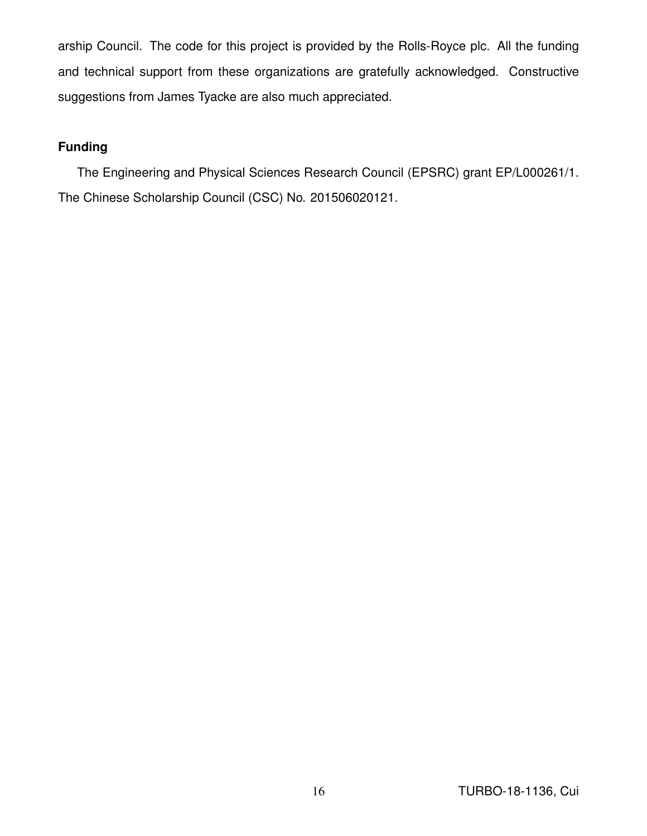arship Council. The code for this project is provided by the Rolls-Royce plc. All the funding and technical support from these organizations are gratefully acknowledged. Constructive suggestions from James Tyacke are also much appreciated.

# **Funding**

The Engineering and Physical Sciences Research Council (EPSRC) grant EP/L000261/1. The Chinese Scholarship Council (CSC) No. 201506020121.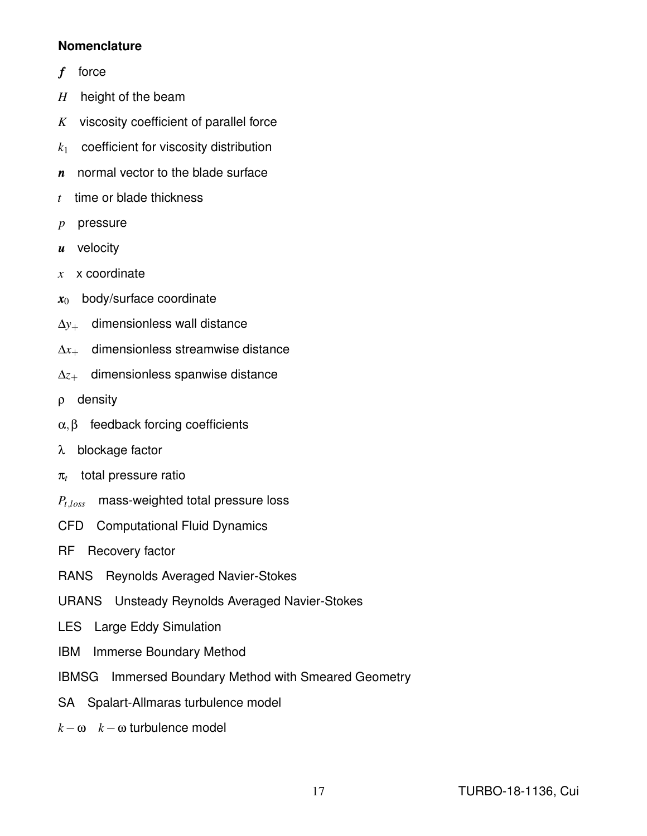# **Nomenclature**

- *f* force
- *H* height of the beam
- *K* viscosity coefficient of parallel force
- *k*<sup>1</sup> coefficient for viscosity distribution
- *n* normal vector to the blade surface
- *t* time or blade thickness
- *p* pressure
- *u* velocity
- *x* x coordinate
- $x_0$  body/surface coordinate
- ∆*y*<sup>+</sup> dimensionless wall distance
- ∆*x*<sup>+</sup> dimensionless streamwise distance
- ∆*z*<sup>+</sup> dimensionless spanwise distance
- ρ density
- $\alpha, \beta$  feedback forcing coefficients
- λ blockage factor
- π*t* total pressure ratio
- *Pt*,*loss* mass-weighted total pressure loss
- CFD Computational Fluid Dynamics
- RF Recovery factor
- RANS Reynolds Averaged Navier-Stokes
- URANS Unsteady Reynolds Averaged Navier-Stokes
- LES Large Eddy Simulation
- IBM Immerse Boundary Method
- IBMSG Immersed Boundary Method with Smeared Geometry
- SA Spalart-Allmaras turbulence model
- $k \omega$  *k* − ω turbulence model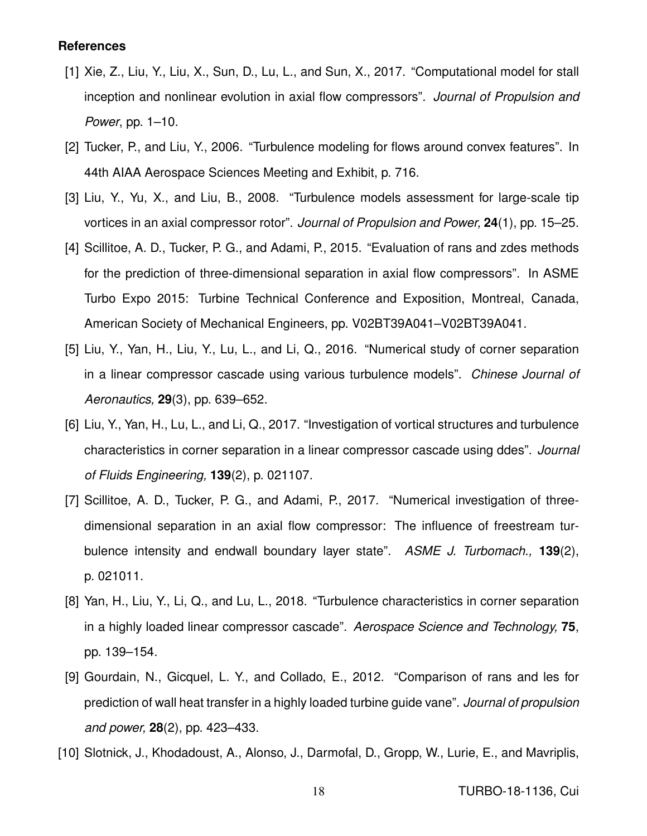# **References**

- [1] Xie, Z., Liu, Y., Liu, X., Sun, D., Lu, L., and Sun, X., 2017. "Computational model for stall inception and nonlinear evolution in axial flow compressors". *Journal of Propulsion and Power*, pp. 1–10.
- [2] Tucker, P., and Liu, Y., 2006. "Turbulence modeling for flows around convex features". In 44th AIAA Aerospace Sciences Meeting and Exhibit, p. 716.
- [3] Liu, Y., Yu, X., and Liu, B., 2008. "Turbulence models assessment for large-scale tip vortices in an axial compressor rotor". *Journal of Propulsion and Power,* **24**(1), pp. 15–25.
- [4] Scillitoe, A. D., Tucker, P. G., and Adami, P., 2015. "Evaluation of rans and zdes methods for the prediction of three-dimensional separation in axial flow compressors". In ASME Turbo Expo 2015: Turbine Technical Conference and Exposition, Montreal, Canada, American Society of Mechanical Engineers, pp. V02BT39A041–V02BT39A041.
- [5] Liu, Y., Yan, H., Liu, Y., Lu, L., and Li, Q., 2016. "Numerical study of corner separation in a linear compressor cascade using various turbulence models". *Chinese Journal of Aeronautics,* **29**(3), pp. 639–652.
- [6] Liu, Y., Yan, H., Lu, L., and Li, Q., 2017. "Investigation of vortical structures and turbulence characteristics in corner separation in a linear compressor cascade using ddes". *Journal of Fluids Engineering,* **139**(2), p. 021107.
- [7] Scillitoe, A. D., Tucker, P. G., and Adami, P., 2017. "Numerical investigation of threedimensional separation in an axial flow compressor: The influence of freestream turbulence intensity and endwall boundary layer state". *ASME J. Turbomach.,* **139**(2), p. 021011.
- [8] Yan, H., Liu, Y., Li, Q., and Lu, L., 2018. "Turbulence characteristics in corner separation in a highly loaded linear compressor cascade". *Aerospace Science and Technology,* **75**, pp. 139–154.
- [9] Gourdain, N., Gicquel, L. Y., and Collado, E., 2012. "Comparison of rans and les for prediction of wall heat transfer in a highly loaded turbine guide vane". *Journal of propulsion and power,* **28**(2), pp. 423–433.
- [10] Slotnick, J., Khodadoust, A., Alonso, J., Darmofal, D., Gropp, W., Lurie, E., and Mavriplis,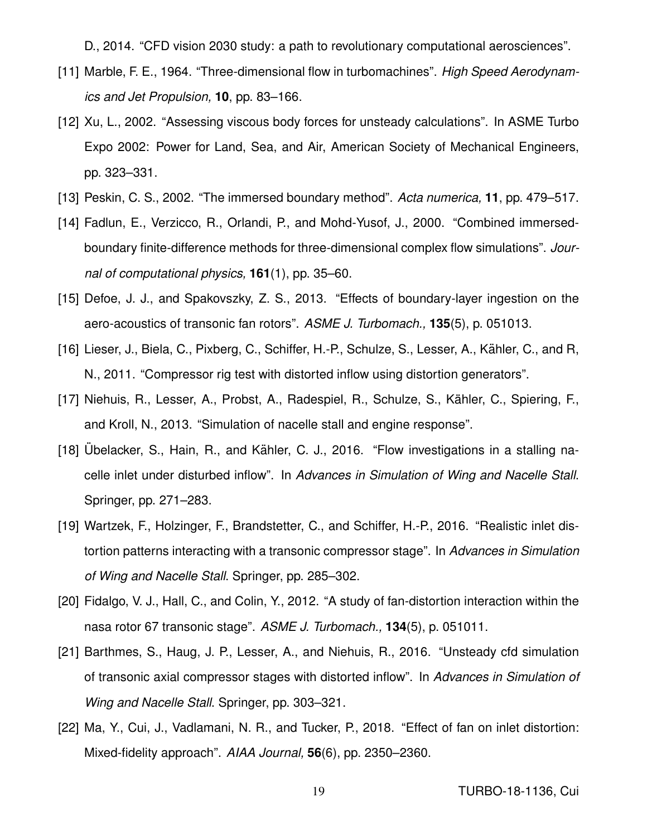D., 2014. "CFD vision 2030 study: a path to revolutionary computational aerosciences".

- [11] Marble, F. E., 1964. "Three-dimensional flow in turbomachines". *High Speed Aerodynamics and Jet Propulsion,* **10**, pp. 83–166.
- [12] Xu, L., 2002. "Assessing viscous body forces for unsteady calculations". In ASME Turbo Expo 2002: Power for Land, Sea, and Air, American Society of Mechanical Engineers, pp. 323–331.
- [13] Peskin, C. S., 2002. "The immersed boundary method". *Acta numerica,* **11**, pp. 479–517.
- [14] Fadlun, E., Verzicco, R., Orlandi, P., and Mohd-Yusof, J., 2000. "Combined immersedboundary finite-difference methods for three-dimensional complex flow simulations". *Journal of computational physics,* **161**(1), pp. 35–60.
- [15] Defoe, J. J., and Spakovszky, Z. S., 2013. "Effects of boundary-layer ingestion on the aero-acoustics of transonic fan rotors". *ASME J. Turbomach.,* **135**(5), p. 051013.
- [16] Lieser, J., Biela, C., Pixberg, C., Schiffer, H.-P., Schulze, S., Lesser, A., Kähler, C., and R, N., 2011. "Compressor rig test with distorted inflow using distortion generators".
- [17] Niehuis, R., Lesser, A., Probst, A., Radespiel, R., Schulze, S., Kahler, C., Spiering, F., ¨ and Kroll, N., 2013. "Simulation of nacelle stall and engine response".
- [18] Ubelacker, S., Hain, R., and Kähler, C. J., 2016. "Flow investigations in a stalling nacelle inlet under disturbed inflow". In *Advances in Simulation of Wing and Nacelle Stall*. Springer, pp. 271–283.
- [19] Wartzek, F., Holzinger, F., Brandstetter, C., and Schiffer, H.-P., 2016. "Realistic inlet distortion patterns interacting with a transonic compressor stage". In *Advances in Simulation of Wing and Nacelle Stall*. Springer, pp. 285–302.
- [20] Fidalgo, V. J., Hall, C., and Colin, Y., 2012. "A study of fan-distortion interaction within the nasa rotor 67 transonic stage". *ASME J. Turbomach.,* **134**(5), p. 051011.
- [21] Barthmes, S., Haug, J. P., Lesser, A., and Niehuis, R., 2016. "Unsteady cfd simulation of transonic axial compressor stages with distorted inflow". In *Advances in Simulation of Wing and Nacelle Stall*. Springer, pp. 303–321.
- [22] Ma, Y., Cui, J., Vadlamani, N. R., and Tucker, P., 2018. "Effect of fan on inlet distortion: Mixed-fidelity approach". *AIAA Journal,* **56**(6), pp. 2350–2360.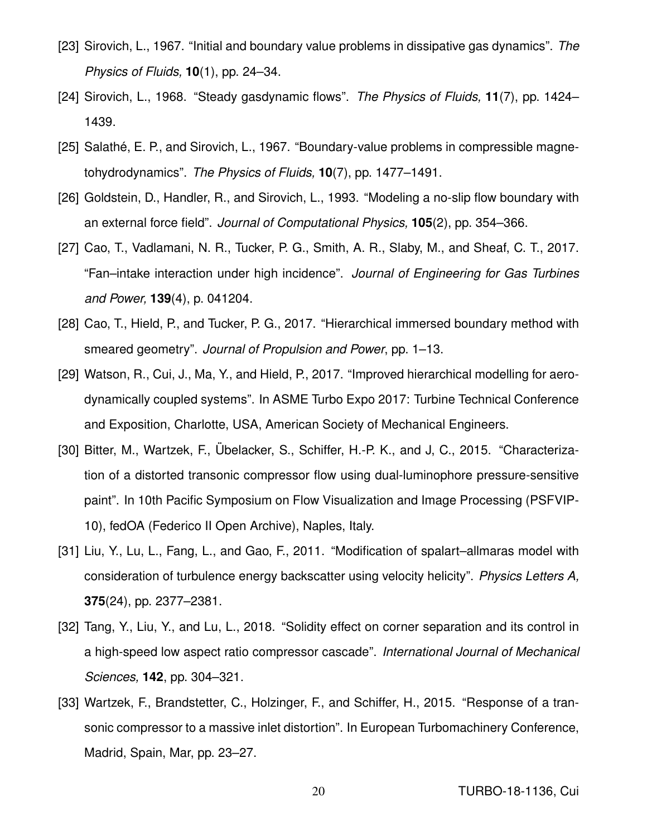- [23] Sirovich, L., 1967. "Initial and boundary value problems in dissipative gas dynamics". *The Physics of Fluids,* **10**(1), pp. 24–34.
- [24] Sirovich, L., 1968. "Steady gasdynamic flows". *The Physics of Fluids,* **11**(7), pp. 1424– 1439.
- [25] Salathé, E. P., and Sirovich, L., 1967. "Boundary-value problems in compressible magnetohydrodynamics". *The Physics of Fluids,* **10**(7), pp. 1477–1491.
- [26] Goldstein, D., Handler, R., and Sirovich, L., 1993. "Modeling a no-slip flow boundary with an external force field". *Journal of Computational Physics,* **105**(2), pp. 354–366.
- [27] Cao, T., Vadlamani, N. R., Tucker, P. G., Smith, A. R., Slaby, M., and Sheaf, C. T., 2017. "Fan–intake interaction under high incidence". *Journal of Engineering for Gas Turbines and Power,* **139**(4), p. 041204.
- [28] Cao, T., Hield, P., and Tucker, P. G., 2017. "Hierarchical immersed boundary method with smeared geometry". *Journal of Propulsion and Power*, pp. 1–13.
- [29] Watson, R., Cui, J., Ma, Y., and Hield, P., 2017. "Improved hierarchical modelling for aerodynamically coupled systems". In ASME Turbo Expo 2017: Turbine Technical Conference and Exposition, Charlotte, USA, American Society of Mechanical Engineers.
- [30] Bitter, M., Wartzek, F., Übelacker, S., Schiffer, H.-P. K., and J. C., 2015. "Characterization of a distorted transonic compressor flow using dual-luminophore pressure-sensitive paint". In 10th Pacific Symposium on Flow Visualization and Image Processing (PSFVIP-10), fedOA (Federico II Open Archive), Naples, Italy.
- [31] Liu, Y., Lu, L., Fang, L., and Gao, F., 2011. "Modification of spalart–allmaras model with consideration of turbulence energy backscatter using velocity helicity". *Physics Letters A,* **375**(24), pp. 2377–2381.
- [32] Tang, Y., Liu, Y., and Lu, L., 2018. "Solidity effect on corner separation and its control in a high-speed low aspect ratio compressor cascade". *International Journal of Mechanical Sciences,* **142**, pp. 304–321.
- [33] Wartzek, F., Brandstetter, C., Holzinger, F., and Schiffer, H., 2015. "Response of a transonic compressor to a massive inlet distortion". In European Turbomachinery Conference, Madrid, Spain, Mar, pp. 23–27.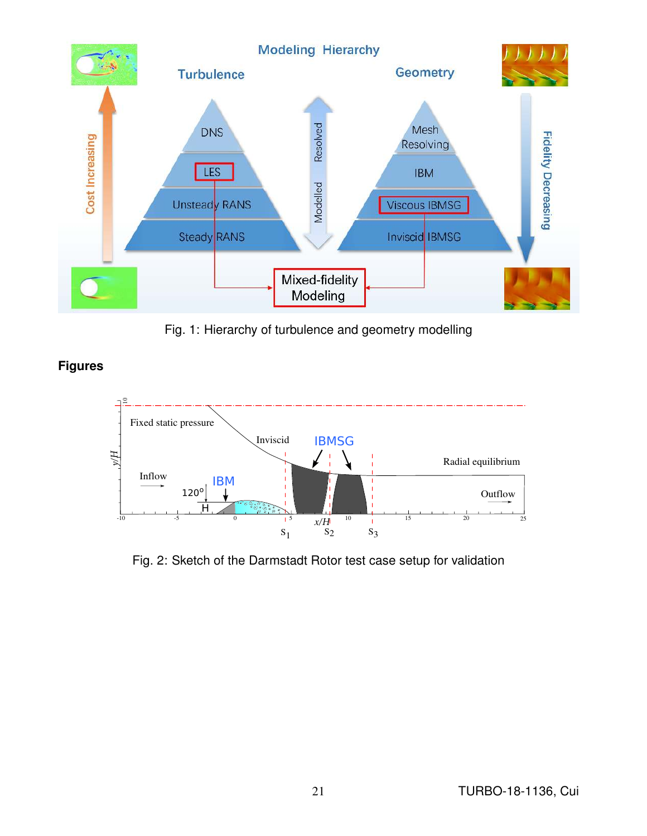

Fig. 1: Hierarchy of turbulence and geometry modelling

**Figures**



Fig. 2: Sketch of the Darmstadt Rotor test case setup for validation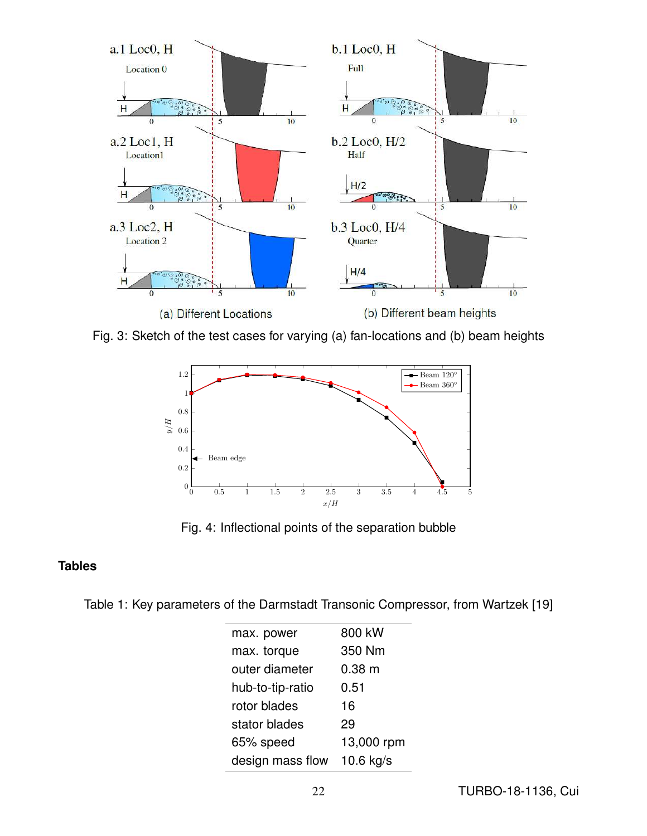

Fig. 3: Sketch of the test cases for varying (a) fan-locations and (b) beam heights



Fig. 4: Inflectional points of the separation bubble

# **Tables**

Table 1: Key parameters of the Darmstadt Transonic Compressor, from Wartzek [19]

| max. power       | 800 kW      |
|------------------|-------------|
| max. torque      | 350 Nm      |
| outer diameter   | $0.38$ m    |
| hub-to-tip-ratio | 0.51        |
| rotor blades     | 16          |
| stator blades    | 29          |
| 65% speed        | 13,000 rpm  |
| design mass flow | $10.6$ kg/s |
|                  |             |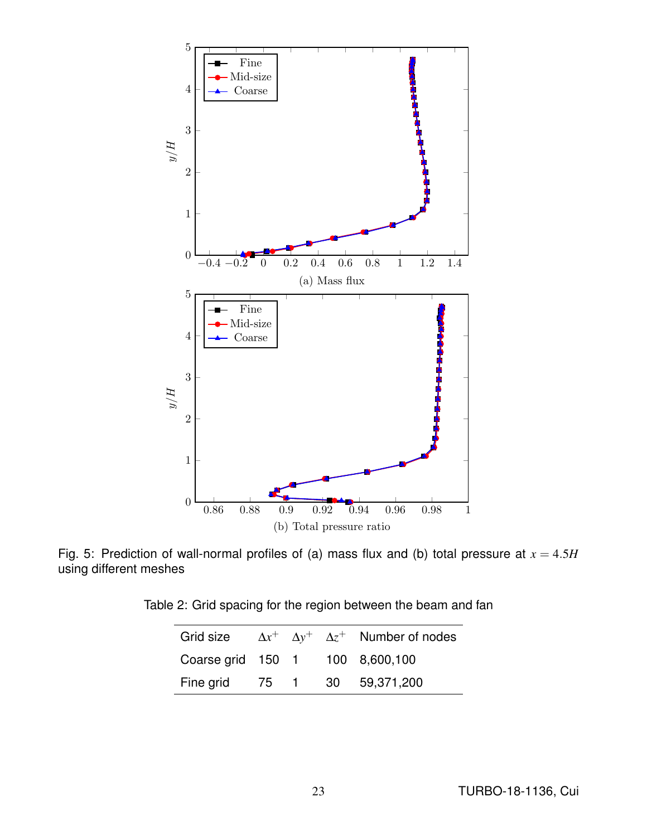

Fig. 5: Prediction of wall-normal profiles of (a) mass flux and (b) total pressure at  $x = 4.5H$ using different meshes

Table 2: Grid spacing for the region between the beam and fan

|                                 |  | Grid size $\Delta x^+$ $\Delta y^+$ $\Delta z^+$ Number of nodes |
|---------------------------------|--|------------------------------------------------------------------|
| Coarse grid 150 1 100 8,600,100 |  |                                                                  |
| Fine grid 75 1 30 59,371,200    |  |                                                                  |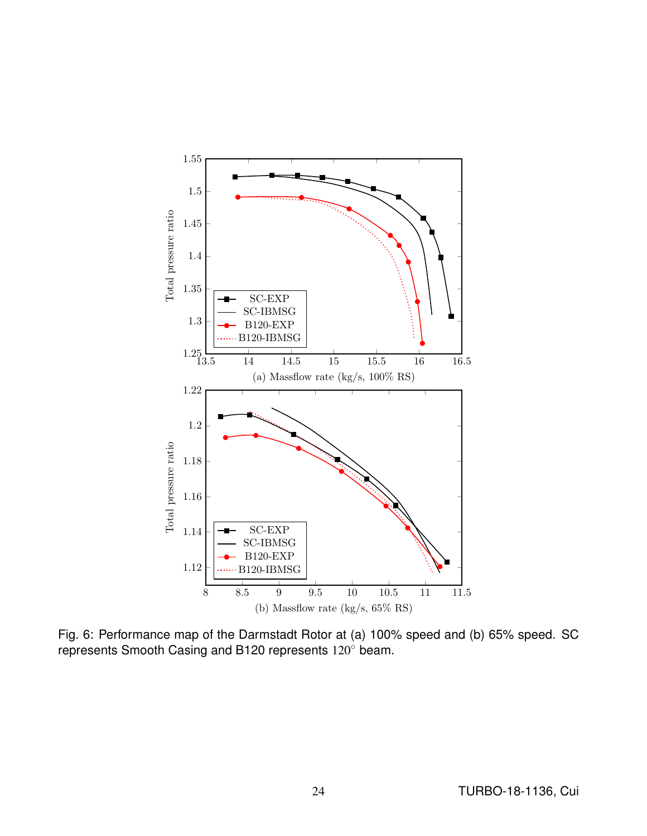

Fig. 6: Performance map of the Darmstadt Rotor at (a) 100% speed and (b) 65% speed. SC represents Smooth Casing and B120 represents 120◦ beam.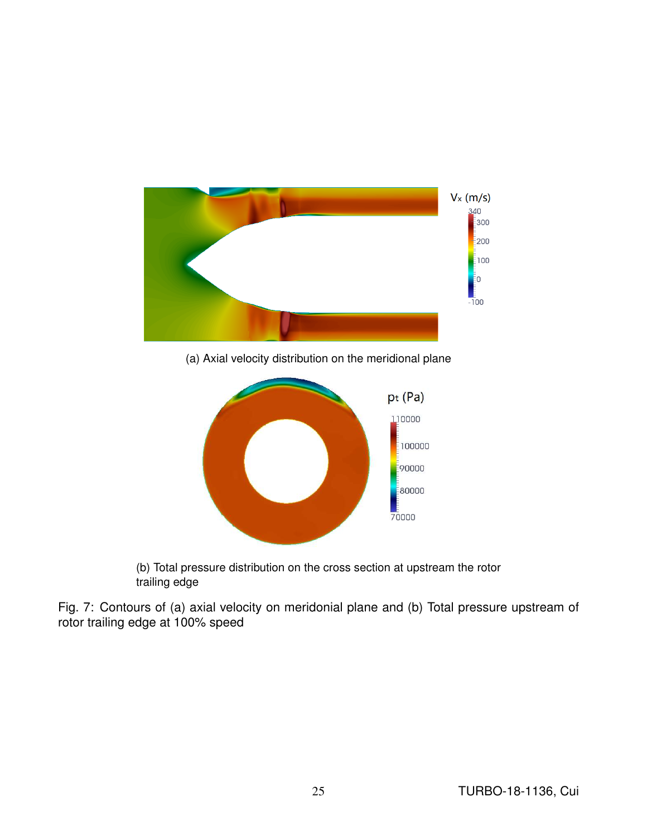

(b) Total pressure distribution on the cross section at upstream the rotor trailing edge

Fig. 7: Contours of (a) axial velocity on meridonial plane and (b) Total pressure upstream of rotor trailing edge at 100% speed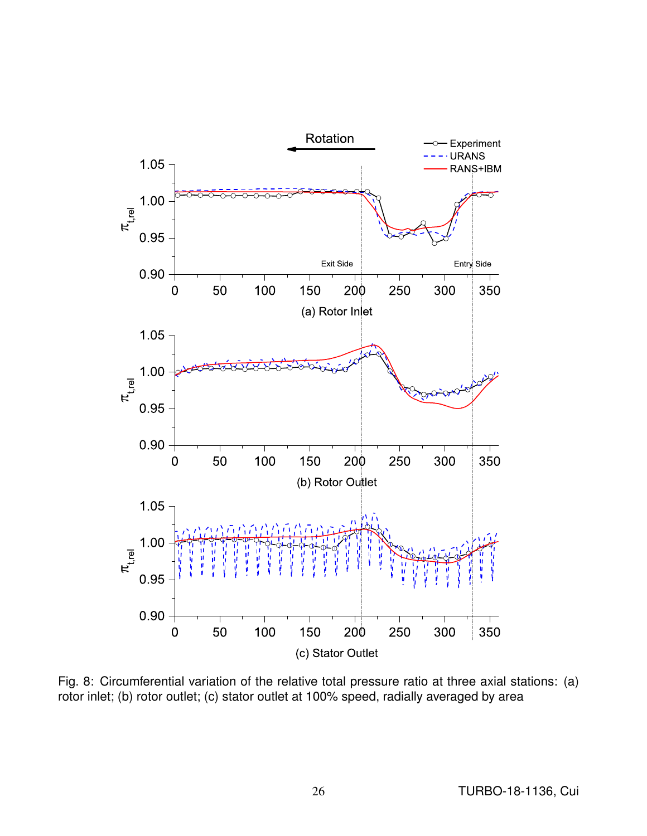

Fig. 8: Circumferential variation of the relative total pressure ratio at three axial stations: (a) rotor inlet; (b) rotor outlet; (c) stator outlet at 100% speed, radially averaged by area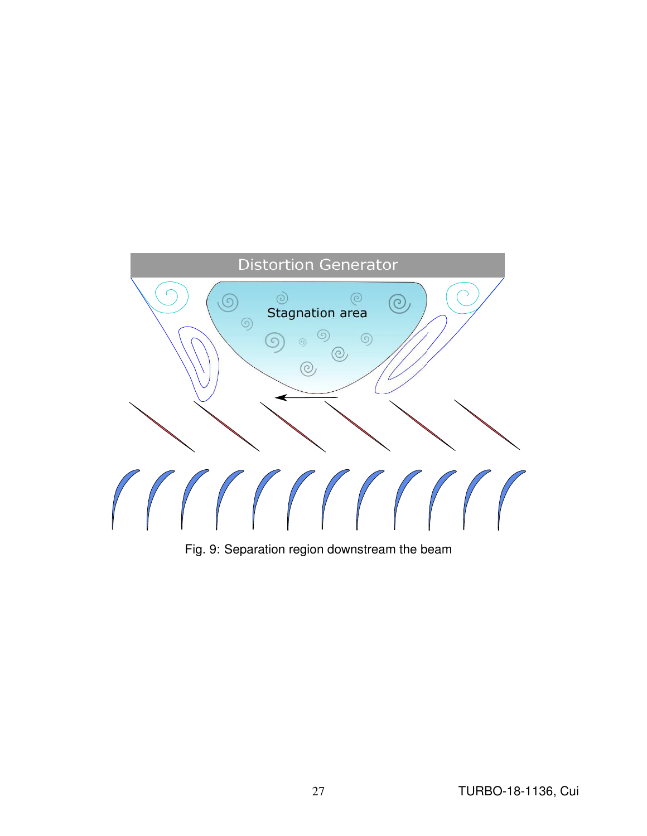

Fig. 9: Separation region downstream the beam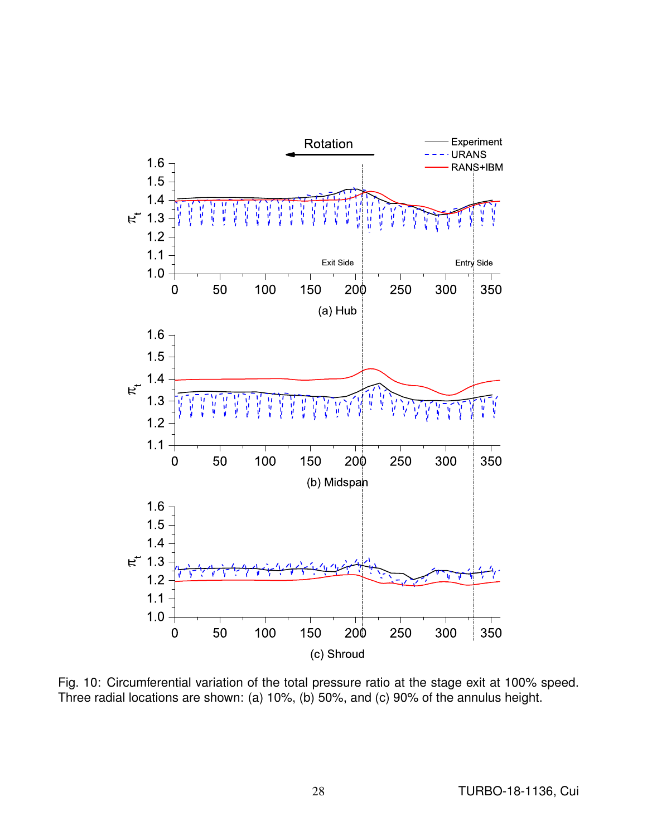

Fig. 10: Circumferential variation of the total pressure ratio at the stage exit at 100% speed. Three radial locations are shown: (a) 10%, (b) 50%, and (c) 90% of the annulus height.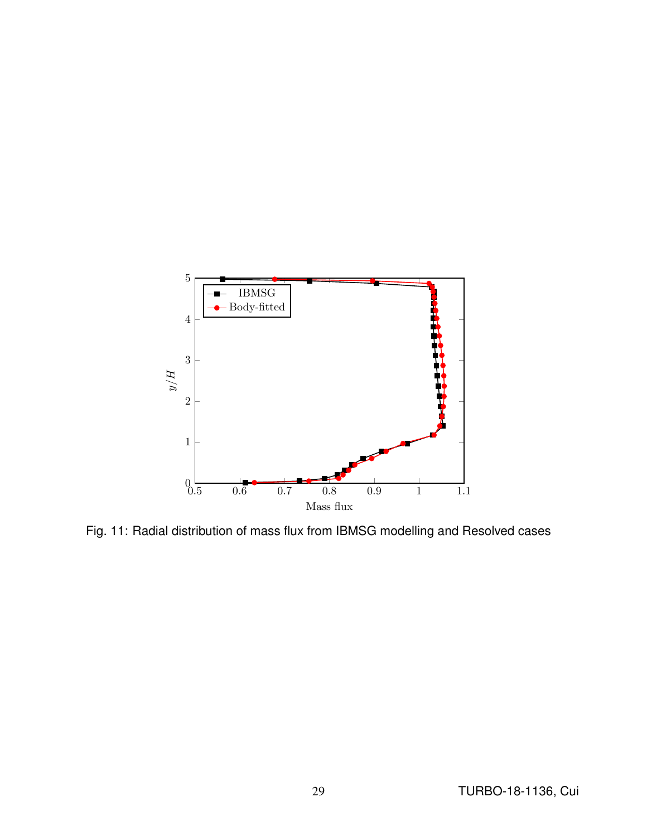

Fig. 11: Radial distribution of mass flux from IBMSG modelling and Resolved cases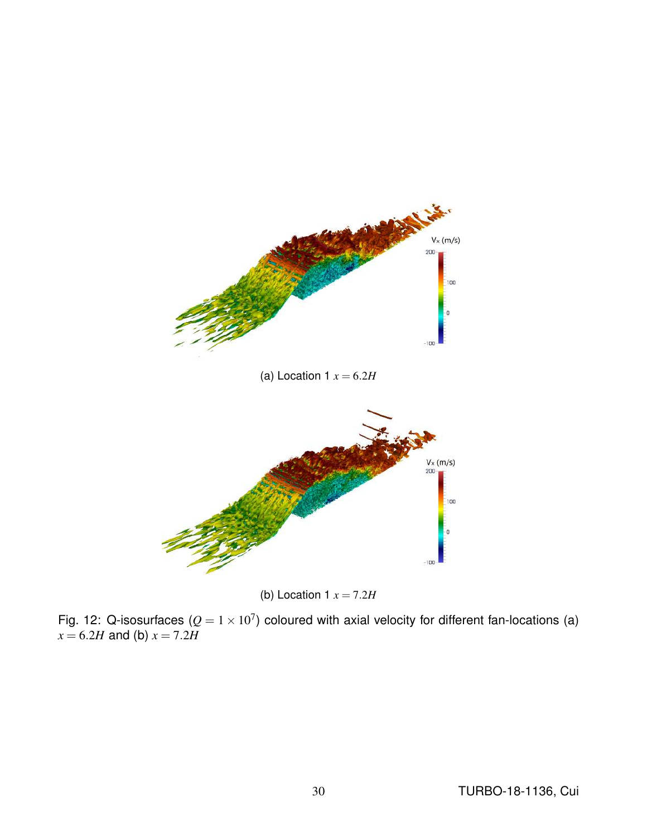



Fig. 12: Q-isosurfaces  $(Q = 1 \times 10^7)$  coloured with axial velocity for different fan-locations (a)  $x = 6.2H$  and (b)  $x = 7.2H$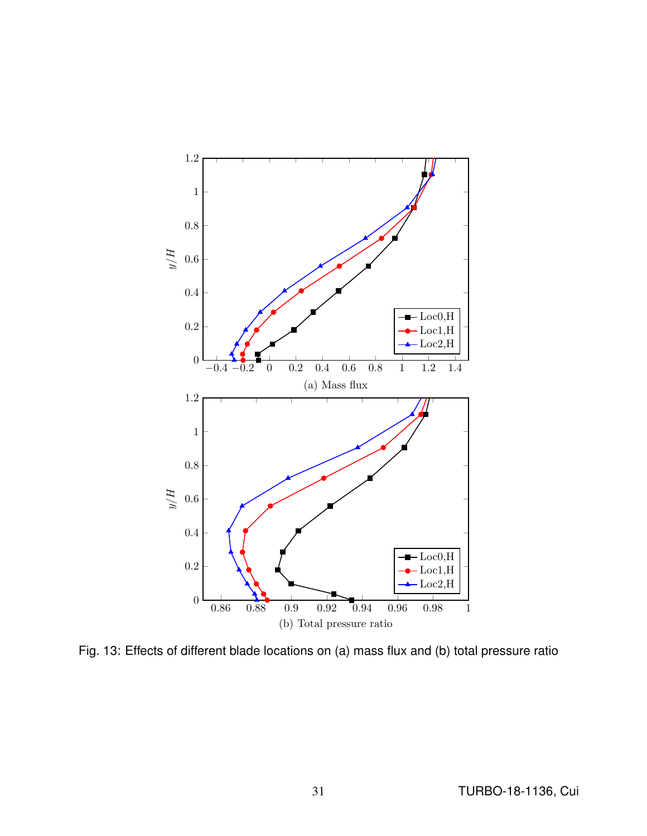

Fig. 13: Effects of different blade locations on (a) mass flux and (b) total pressure ratio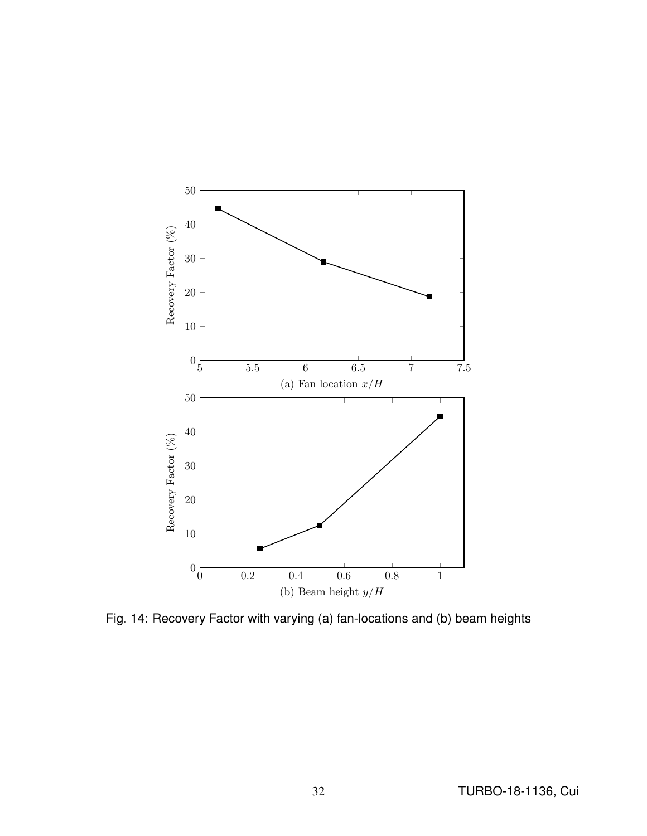

Fig. 14: Recovery Factor with varying (a) fan-locations and (b) beam heights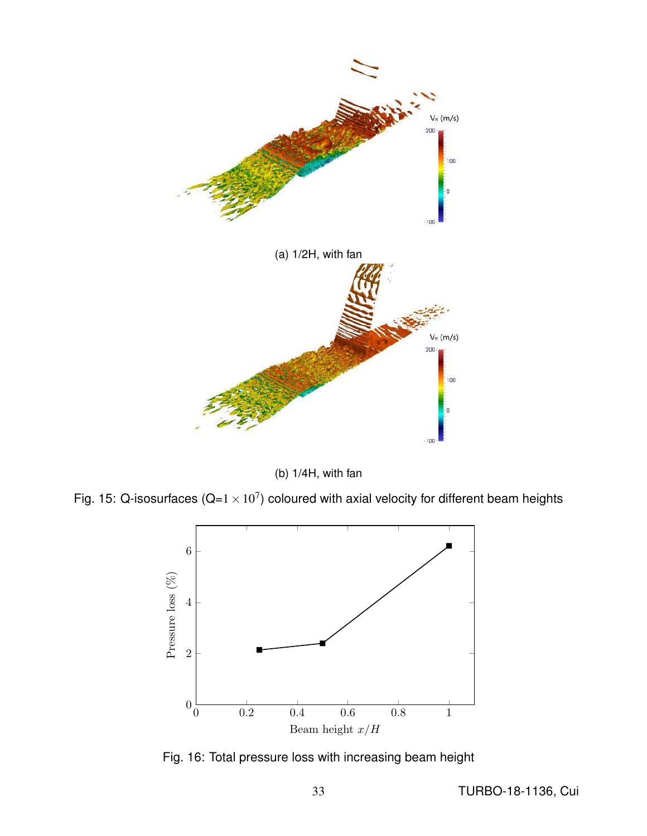

(b) 1/4H, with fan

Fig. 15: Q-isosurfaces (Q=1  $\times$  10<sup>7</sup>) coloured with axial velocity for different beam heights



Fig. 16: Total pressure loss with increasing beam height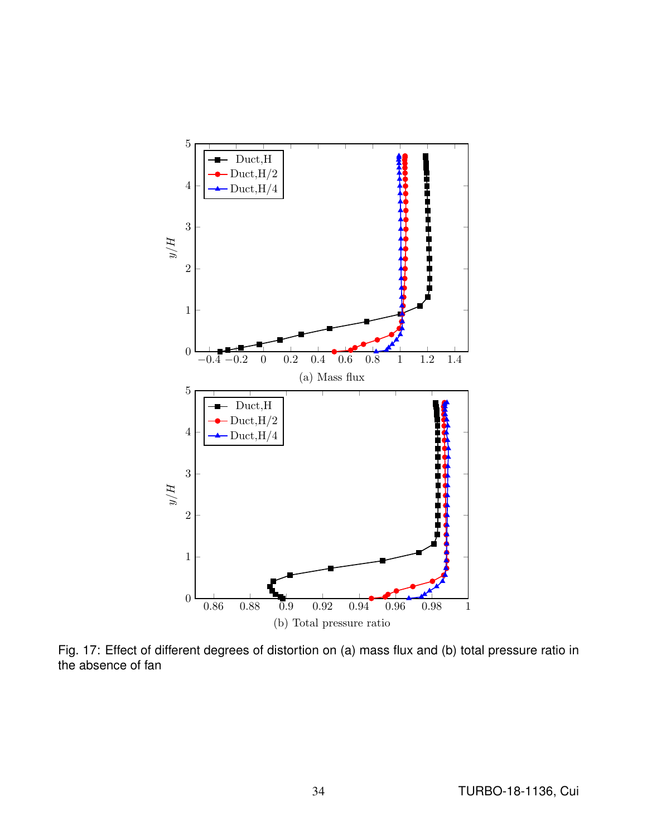

Fig. 17: Effect of different degrees of distortion on (a) mass flux and (b) total pressure ratio in the absence of fan